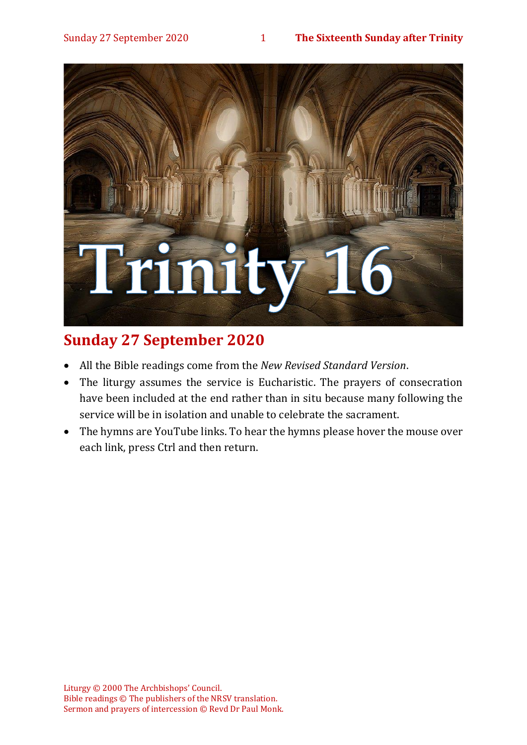

# **Sunday 27 September 2020**

- All the Bible readings come from the *New Revised Standard Version*.
- The liturgy assumes the service is Eucharistic. The prayers of consecration have been included at the end rather than in situ because many following the service will be in isolation and unable to celebrate the sacrament.
- The hymns are YouTube links. To hear the hymns please hover the mouse over each link, press Ctrl and then return.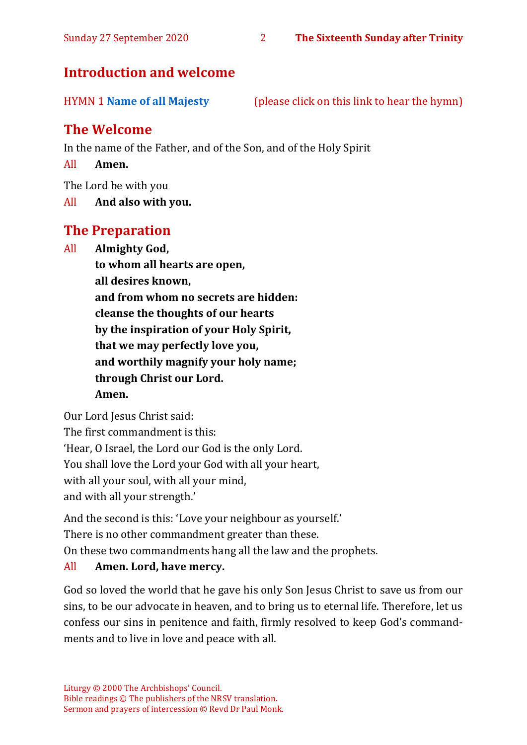## **Introduction and welcome**

HYMN 1 **[Name of all Majesty](https://youtu.be/OUeNwAVMHEA)** (please click on this link to hear the hymn)

# **The Welcome**

In the name of the Father, and of the Son, and of the Holy Spirit

All **Amen.**

The Lord be with you

All **And also with you.**

## **The Preparation**

All **Almighty God,**

**to whom all hearts are open, all desires known, and from whom no secrets are hidden: cleanse the thoughts of our hearts by the inspiration of your Holy Spirit, that we may perfectly love you, and worthily magnify your holy name; through Christ our Lord. Amen.**

Our Lord Jesus Christ said:

The first commandment is this: 'Hear, O Israel, the Lord our God is the only Lord. You shall love the Lord your God with all your heart, with all your soul, with all your mind, and with all your strength.'

And the second is this: 'Love your neighbour as yourself.' There is no other commandment greater than these.

On these two commandments hang all the law and the prophets.

### All **Amen. Lord, have mercy.**

God so loved the world that he gave his only Son Jesus Christ to save us from our sins, to be our advocate in heaven, and to bring us to eternal life. Therefore, let us confess our sins in penitence and faith, firmly resolved to keep God's commandments and to live in love and peace with all.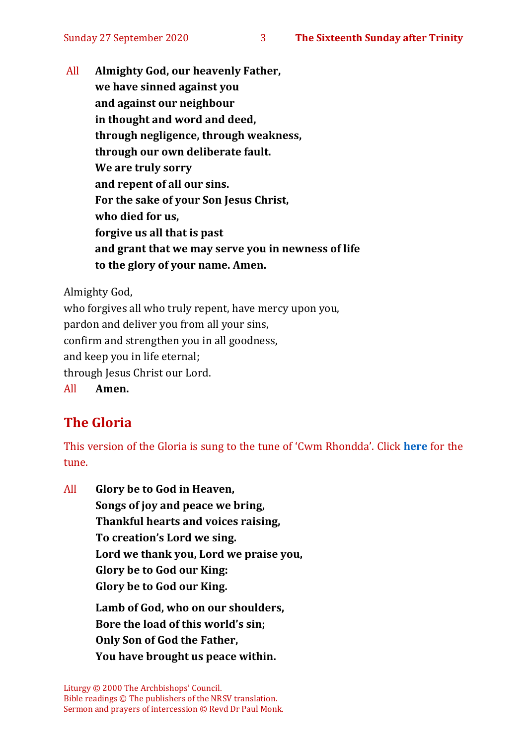All **Almighty God, our heavenly Father, we have sinned against you and against our neighbour in thought and word and deed, through negligence, through weakness, through our own deliberate fault. We are truly sorry and repent of all our sins. For the sake of your Son Jesus Christ, who died for us, forgive us all that is past and grant that we may serve you in newness of life to the glory of your name. Amen.**

Almighty God,

who forgives all who truly repent, have mercy upon you, pardon and deliver you from all your sins, confirm and strengthen you in all goodness, and keep you in life eternal; through Jesus Christ our Lord. All **Amen.**

# **The Gloria**

This version of the Gloria is sung to the tune of 'Cwm Rhondda'. Click **[here](about:blank)** for the tune.

All **Glory be to God in Heaven, Songs of joy and peace we bring, Thankful hearts and voices raising, To creation's Lord we sing. Lord we thank you, Lord we praise you, Glory be to God our King: Glory be to God our King. Lamb of God, who on our shoulders, Bore the load of this world's sin; Only Son of God the Father, You have brought us peace within.**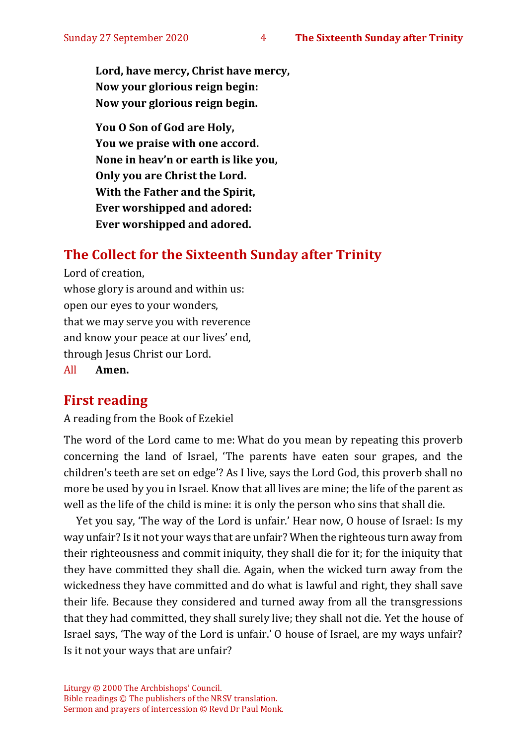**Lord, have mercy, Christ have mercy, Now your glorious reign begin: Now your glorious reign begin.**

**You O Son of God are Holy, You we praise with one accord. None in heav'n or earth is like you, Only you are Christ the Lord. With the Father and the Spirit, Ever worshipped and adored: Ever worshipped and adored.**

# **The Collect for the Sixteenth Sunday after Trinity**

Lord of creation, whose glory is around and within us: open our eyes to your wonders, that we may serve you with reverence and know your peace at our lives' end, through Jesus Christ our Lord.

All **Amen.**

## **First reading**

A reading from the Book of Ezekiel

The word of the Lord came to me: What do you mean by repeating this proverb concerning the land of Israel, 'The parents have eaten sour grapes, and the children's teeth are set on edge'? As I live, says the Lord God, this proverb shall no more be used by you in Israel. Know that all lives are mine; the life of the parent as well as the life of the child is mine: it is only the person who sins that shall die.

Yet you say, 'The way of the Lord is unfair.' Hear now, O house of Israel: Is my way unfair? Is it not your ways that are unfair? When the righteous turn away from their righteousness and commit iniquity, they shall die for it; for the iniquity that they have committed they shall die. Again, when the wicked turn away from the wickedness they have committed and do what is lawful and right, they shall save their life. Because they considered and turned away from all the transgressions that they had committed, they shall surely live; they shall not die. Yet the house of Israel says, 'The way of the Lord is unfair.' O house of Israel, are my ways unfair? Is it not your ways that are unfair?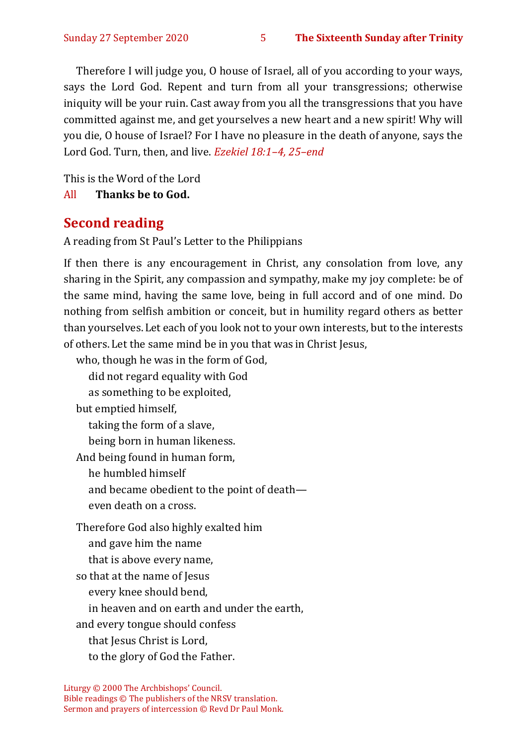Therefore I will judge you, O house of Israel, all of you according to your ways, says the Lord God. Repent and turn from all your transgressions; otherwise iniquity will be your ruin. Cast away from you all the transgressions that you have committed against me, and get yourselves a new heart and a new spirit! Why will you die, O house of Israel? For I have no pleasure in the death of anyone, says the Lord God. Turn, then, and live. *Ezekiel 18:1–4, 25–end*

This is the Word of the Lord

All **Thanks be to God.**

# **Second reading**

A reading from St Paul's Letter to the Philippians

If then there is any encouragement in Christ, any consolation from love, any sharing in the Spirit, any compassion and sympathy, make my joy complete: be of the same mind, having the same love, being in full accord and of one mind. Do nothing from selfish ambition or conceit, but in humility regard others as better than yourselves. Let each of you look not to your own interests, but to the interests of others. Let the same mind be in you that was in Christ Jesus,

- who, though he was in the form of God, did not regard equality with God as something to be exploited, but emptied himself, taking the form of a slave, being born in human likeness. And being found in human form, he humbled himself and became obedient to the point of death even death on a cross. Therefore God also highly exalted him and gave him the name that is above every name, so that at the name of Jesus every knee should bend, in heaven and on earth and under the earth,
- and every tongue should confess
	- that Jesus Christ is Lord,
	- to the glory of God the Father.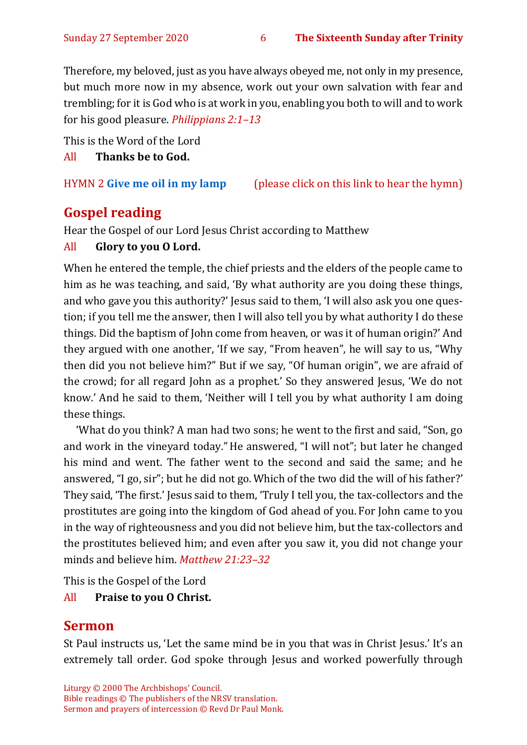Therefore, my beloved, just as you have always obeyed me, not only in my presence, but much more now in my absence, work out your own salvation with fear and trembling; for it is God who is at work in you, enabling you both to will and to work for his good pleasure. *Philippians 2:1–13*

This is the Word of the Lord

All **Thanks be to God.**

HYMN 2 **[Give me oil in my lamp](https://youtu.be/Bopa6jHReqk)** (please click on this link to hear the hymn)

# **Gospel reading**

Hear the Gospel of our Lord Jesus Christ according to Matthew

#### All **Glory to you O Lord.**

When he entered the temple, the chief priests and the elders of the people came to him as he was teaching, and said, 'By what authority are you doing these things, and who gave you this authority?' Jesus said to them, 'I will also ask you one question; if you tell me the answer, then I will also tell you by what authority I do these things. Did the baptism of John come from heaven, or was it of human origin?' And they argued with one another, 'If we say, "From heaven", he will say to us, "Why then did you not believe him?" But if we say, "Of human origin", we are afraid of the crowd; for all regard John as a prophet.' So they answered Jesus, 'We do not know.' And he said to them, 'Neither will I tell you by what authority I am doing these things.

'What do you think? A man had two sons; he went to the first and said, "Son, go and work in the vineyard today."He answered, "I will not"; but later he changed his mind and went. The father went to the second and said the same; and he answered, "I go, sir"; but he did not go. Which of the two did the will of his father?' They said, 'The first.' Jesus said to them, 'Truly I tell you, the tax-collectors and the prostitutes are going into the kingdom of God ahead of you. For John came to you in the way of righteousness and you did not believe him, but the tax-collectors and the prostitutes believed him; and even after you saw it, you did not change your minds and believe him. *Matthew 21:23–32*

This is the Gospel of the Lord

### All **Praise to you O Christ.**

## **Sermon**

St Paul instructs us, 'Let the same mind be in you that was in Christ Jesus.' It's an extremely tall order. God spoke through Jesus and worked powerfully through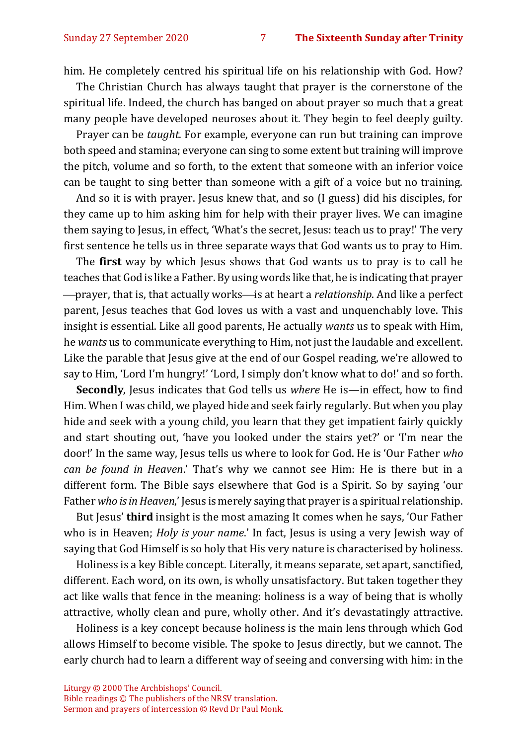him. He completely centred his spiritual life on his relationship with God. How?

The Christian Church has always taught that prayer is the cornerstone of the spiritual life. Indeed, the church has banged on about prayer so much that a great many people have developed neuroses about it. They begin to feel deeply guilty.

Prayer can be *taught*. For example, everyone can run but training can improve both speed and stamina; everyone can sing to some extent but training will improve the pitch, volume and so forth, to the extent that someone with an inferior voice can be taught to sing better than someone with a gift of a voice but no training.

And so it is with prayer. Jesus knew that, and so (I guess) did his disciples, for they came up to him asking him for help with their prayer lives. We can imagine them saying to Jesus, in effect, 'What's the secret, Jesus: teach us to pray!' The very first sentence he tells us in three separate ways that God wants us to pray to Him.

The **first** way by which Jesus shows that God wants us to pray is to call he teaches that God is like a Father. By using words like that, he is indicating that prayer **→ prayer, that is, that actually works→is at heart a** *relationship***. And like a perfect** parent, Jesus teaches that God loves us with a vast and unquenchably love. This insight is essential. Like all good parents, He actually *wants* us to speak with Him, he *wants* us to communicate everything to Him, not just the laudable and excellent. Like the parable that Jesus give at the end of our Gospel reading, we're allowed to say to Him, 'Lord I'm hungry!' 'Lord, I simply don't know what to do!' and so forth.

**Secondly**, Jesus indicates that God tells us *where* He is—in effect, how to find Him. When I was child, we played hide and seek fairly regularly. But when you play hide and seek with a young child, you learn that they get impatient fairly quickly and start shouting out, 'have you looked under the stairs yet?' or 'I'm near the door!' In the same way, Jesus tells us where to look for God. He is 'Our Father *who can be found in Heaven*.' That's why we cannot see Him: He is there but in a different form. The Bible says elsewhere that God is a Spirit. So by saying 'our Father *who is in Heaven*,' Jesus is merely saying that prayer is a spiritual relationship.

But Jesus' **third** insight is the most amazing It comes when he says, 'Our Father who is in Heaven; *Holy is your name*.' In fact, Jesus is using a very Jewish way of saying that God Himself is so holy that His very nature is characterised by holiness.

Holiness is a key Bible concept. Literally, it means separate, set apart, sanctified, different. Each word, on its own, is wholly unsatisfactory. But taken together they act like walls that fence in the meaning: holiness is a way of being that is wholly attractive, wholly clean and pure, wholly other. And it's devastatingly attractive.

Holiness is a key concept because holiness is the main lens through which God allows Himself to become visible. The spoke to Jesus directly, but we cannot. The early church had to learn a different way of seeing and conversing with him: in the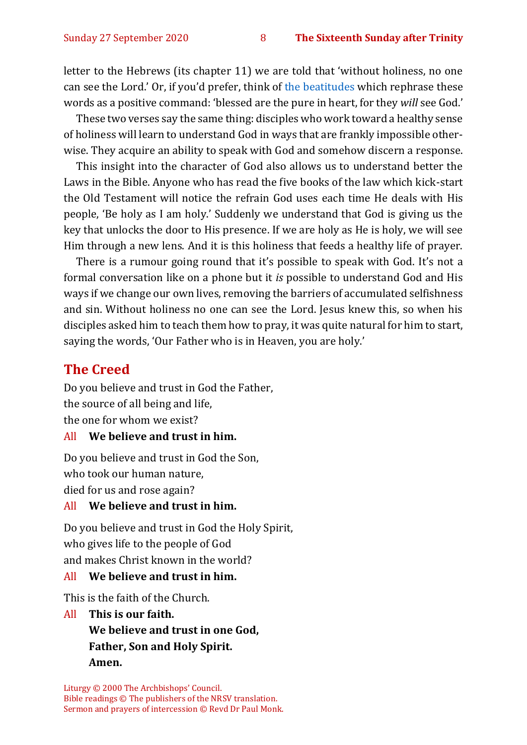letter to the Hebrews (its chapter 11) we are told that 'without holiness, no one can see the Lord.' Or, if you'd prefer, think of [the beatitudes](https://www.biblegateway.com/passage/?search=Matthew%205%3A1-12&version=NRSVA) which rephrase these words as a positive command: 'blessed are the pure in heart, for they *will* see God.'

These two verses say the same thing: disciples who work toward a healthy sense of holiness will learn to understand God in ways that are frankly impossible otherwise. They acquire an ability to speak with God and somehow discern a response.

This insight into the character of God also allows us to understand better the Laws in the Bible. Anyone who has read the five books of the law which kick-start the Old Testament will notice the refrain God uses each time He deals with His people, 'Be holy as I am holy.' Suddenly we understand that God is giving us the key that unlocks the door to His presence. If we are holy as He is holy, we will see Him through a new lens. And it is this holiness that feeds a healthy life of prayer.

There is a rumour going round that it's possible to speak with God. It's not a formal conversation like on a phone but it *is* possible to understand God and His ways if we change our own lives, removing the barriers of accumulated selfishness and sin. Without holiness no one can see the Lord. Jesus knew this, so when his disciples asked him to teach them how to pray, it was quite natural for him to start, saying the words, 'Our Father who is in Heaven, you are holy.'

## **The Creed**

Do you believe and trust in God the Father, the source of all being and life, the one for whom we exist?

#### All **We believe and trust in him.**

Do you believe and trust in God the Son, who took our human nature, died for us and rose again?

## All **We believe and trust in him.**

Do you believe and trust in God the Holy Spirit, who gives life to the people of God and makes Christ known in the world?

#### All **We believe and trust in him.**

This is the faith of the Church.

All **This is our faith. We believe and trust in one God, Father, Son and Holy Spirit. Amen.**

Liturgy © 2000 The Archbishops' Council. Bible readings © The publishers of the NRSV translation. Sermon and prayers of intercession © Revd Dr Paul Monk.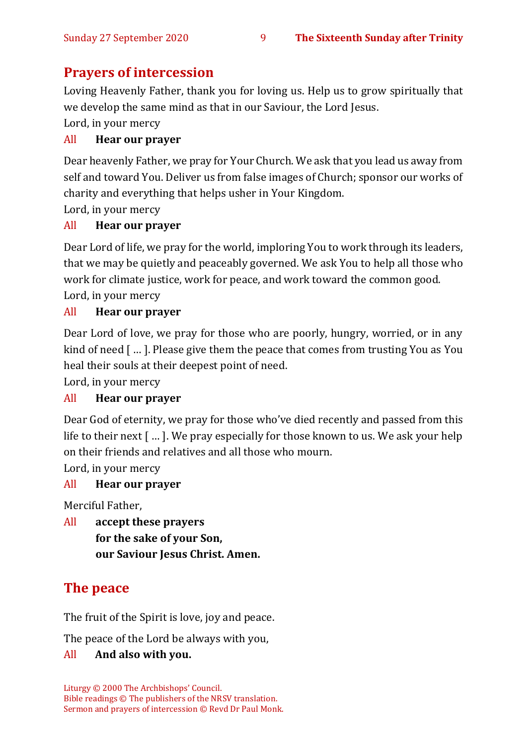# **Prayers of intercession**

Loving Heavenly Father, thank you for loving us. Help us to grow spiritually that we develop the same mind as that in our Saviour, the Lord Jesus.

Lord, in your mercy

#### All **Hear our prayer**

Dear heavenly Father, we pray for Your Church. We ask that you lead us away from self and toward You. Deliver us from false images of Church; sponsor our works of charity and everything that helps usher in Your Kingdom.

Lord, in your mercy

#### All **Hear our prayer**

Dear Lord of life, we pray for the world, imploring You to work through its leaders, that we may be quietly and peaceably governed. We ask You to help all those who work for climate justice, work for peace, and work toward the common good. Lord, in your mercy

#### All **Hear our prayer**

Dear Lord of love, we pray for those who are poorly, hungry, worried, or in any kind of need [ ... ]. Please give them the peace that comes from trusting You as You heal their souls at their deepest point of need.

Lord, in your mercy

### All **Hear our prayer**

Dear God of eternity, we pray for those who've died recently and passed from this life to their next [ … ]. We pray especially for those known to us. We ask your help on their friends and relatives and all those who mourn.

Lord, in your mercy

#### All **Hear our prayer**

Merciful Father,

All **accept these prayers for the sake of your Son, our Saviour Jesus Christ. Amen.**

# **The peace**

The fruit of the Spirit is love, joy and peace.

The peace of the Lord be always with you,

#### All **And also with you.**

Liturgy © 2000 The Archbishops' Council. Bible readings © The publishers of the NRSV translation. Sermon and prayers of intercession © Revd Dr Paul Monk.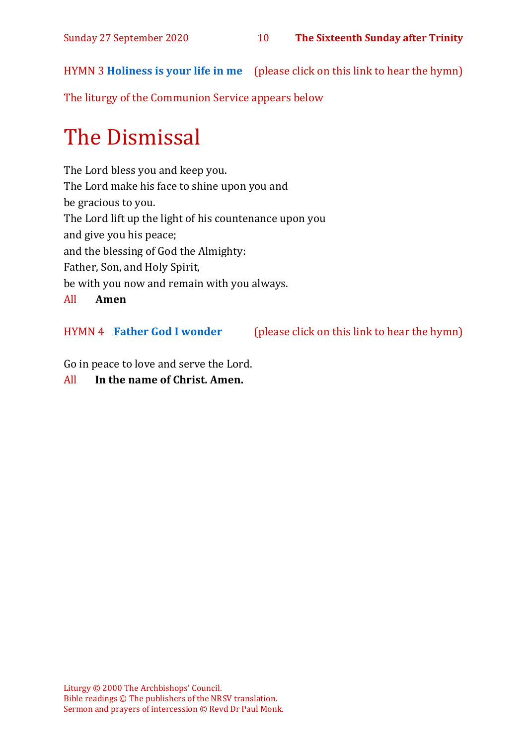HYMN 3 **[Holiness is your life in me](https://www.youtube.com/watch?v=vJDEgUks4ZI)** (please click on this link to hear the hymn)

The liturgy of the Communion Service appears below

# The Dismissal

The Lord bless you and keep you. The Lord make his face to shine upon you and be gracious to you. The Lord lift up the light of his countenance upon you and give you his peace; and the blessing of God the Almighty: Father, Son, and Holy Spirit, be with you now and remain with you always. All **Amen**

HYMN 4 **[Father God I wonder](https://youtu.be/nPT8tzdC_sw)** (please click on this link to hear the hymn)

Go in peace to love and serve the Lord.

#### All **In the name of Christ. Amen.**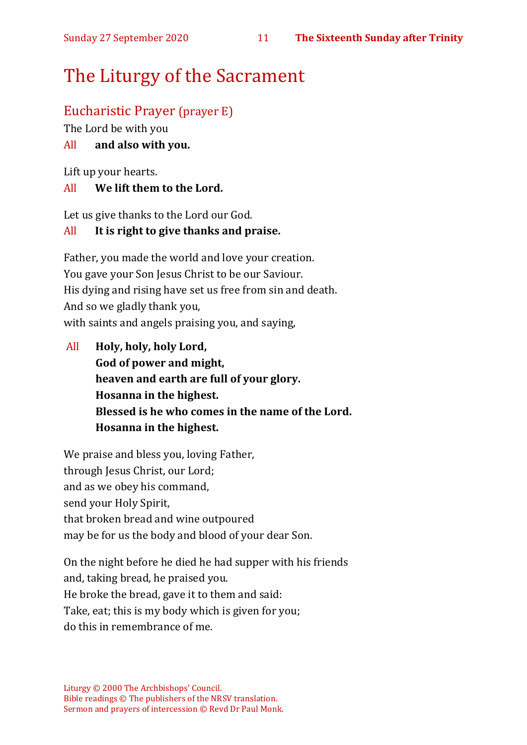# The Liturgy of the Sacrament

## Eucharistic Prayer (prayer E)

The Lord be with you

### All **and also with you.**

Lift up your hearts.

### All **We lift them to the Lord.**

Let us give thanks to the Lord our God.

### All **It is right to give thanks and praise.**

Father, you made the world and love your creation. You gave your Son Jesus Christ to be our Saviour. His dying and rising have set us free from sin and death. And so we gladly thank you, with saints and angels praising you, and saying,

All **Holy, holy, holy Lord, God of power and might, heaven and earth are full of your glory. Hosanna in the highest. Blessed is he who comes in the name of the Lord. Hosanna in the highest.**

We praise and bless you, loving Father, through Jesus Christ, our Lord; and as we obey his command, send your Holy Spirit, that broken bread and wine outpoured may be for us the body and blood of your dear Son.

On the night before he died he had supper with his friends and, taking bread, he praised you. He broke the bread, gave it to them and said: Take, eat; this is my body which is given for you; do this in remembrance of me.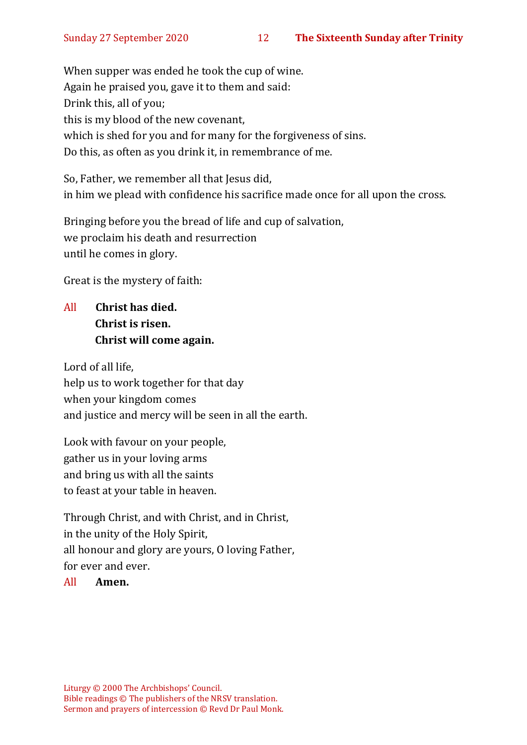When supper was ended he took the cup of wine. Again he praised you, gave it to them and said: Drink this, all of you; this is my blood of the new covenant, which is shed for you and for many for the forgiveness of sins. Do this, as often as you drink it, in remembrance of me.

So, Father, we remember all that Jesus did, in him we plead with confidence his sacrifice made once for all upon the cross.

Bringing before you the bread of life and cup of salvation, we proclaim his death and resurrection until he comes in glory.

Great is the mystery of faith:

All **Christ has died. Christ is risen. Christ will come again.**

Lord of all life, help us to work together for that day when your kingdom comes and justice and mercy will be seen in all the earth.

Look with favour on your people, gather us in your loving arms and bring us with all the saints to feast at your table in heaven.

Through Christ, and with Christ, and in Christ, in the unity of the Holy Spirit, all honour and glory are yours, O loving Father, for ever and ever.

#### All **Amen.**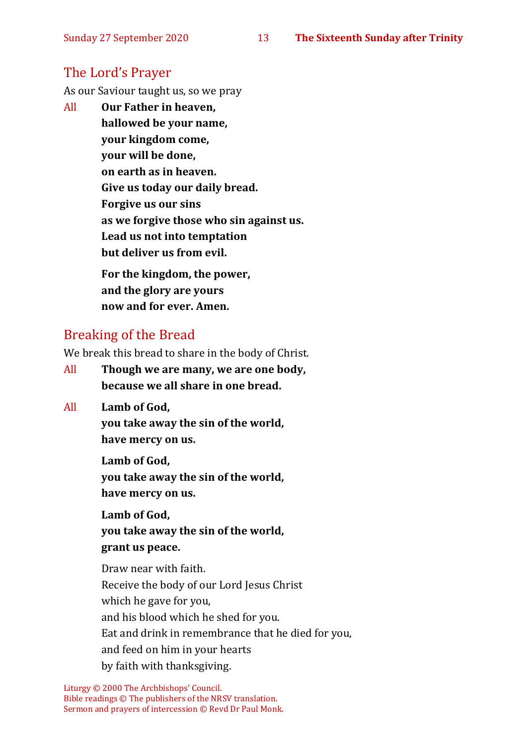## The Lord's Prayer

As our Saviour taught us, so we pray

All **Our Father in heaven, hallowed be your name, your kingdom come, your will be done, on earth as in heaven. Give us today our daily bread. Forgive us our sins as we forgive those who sin against us. Lead us not into temptation but deliver us from evil. For the kingdom, the power,** 

**and the glory are yours now and for ever. Amen.**

## Breaking of the Bread

We break this bread to share in the body of Christ.

- All **Though we are many, we are one body, because we all share in one bread.**
- All **Lamb of God,**

**you take away the sin of the world, have mercy on us.**

**Lamb of God, you take away the sin of the world, have mercy on us.**

**Lamb of God, you take away the sin of the world, grant us peace.**

Draw near with faith. Receive the body of our Lord Jesus Christ which he gave for you, and his blood which he shed for you. Eat and drink in remembrance that he died for you, and feed on him in your hearts by faith with thanksgiving.